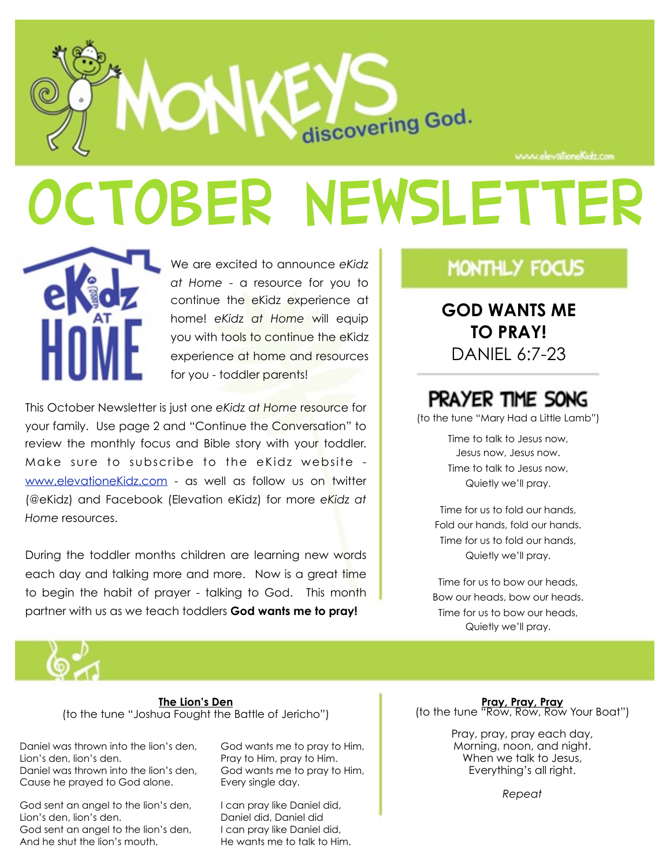

# CTOBER NEWSLETTER



We are excited to announce *eKidz at Home* - a resource for you to continue the eKidz experience at home! *eKidz at Home* will equip you with tools to continue the eKidz experience at home and resources for you - toddler parents!

This October Newsletter is just one *eKidz at Home* resource for your family. Use page 2 and "Continue the Conversation" to review the monthly focus and Bible story with your toddler. Make sure to subscribe to the eKidz website [www.elevationeKidz.com](http://www.elevationeKidz.com) - as well as follow us on twitter (@eKidz) and Facebook (Elevation eKidz) for more *eKidz at Home* resources.

During the toddler months children are learning new words each day and talking more and more. Now is a great time to begin the habit of prayer - talking to God. This month partner with us as we teach toddlers **God wants me to pray!**

# MONTHLY FOCUS

**GOD WANTS ME TO PRAY!** DANIEL 6:7-23

# PRAYER TIME SONG

(to the tune "Mary Had a Little Lamb")

Time to talk to Jesus now, Jesus now, Jesus now. Time to talk to Jesus now, Quietly we'll pray.

Time for us to fold our hands, Fold our hands, fold our hands. Time for us to fold our hands, Quietly we'll pray.

Time for us to bow our heads, Bow our heads, bow our heads. Time for us to bow our heads, Quietly we'll pray.



**The Lion's Den** (to the tune "Joshua Fought the Battle of Jericho")

Daniel was thrown into the lion's den, Lion's den, lion's den. Daniel was thrown into the lion's den, Cause he prayed to God alone.

God sent an angel to the lion's den, Lion's den, lion's den. God sent an angel to the lion's den, And he shut the lion's mouth.

God wants me to pray to Him, Pray to Him, pray to Him. God wants me to pray to Him, Every single day.

I can pray like Daniel did, Daniel did, Daniel did I can pray like Daniel did, He wants me to talk to Him. **Pray, Pray, Pray** (to the tune "Row, Row, Row Your Boat")

Pray, pray, pray each day, Morning, noon, and night. When we talk to Jesus, Everything's all right.

*Repeat*